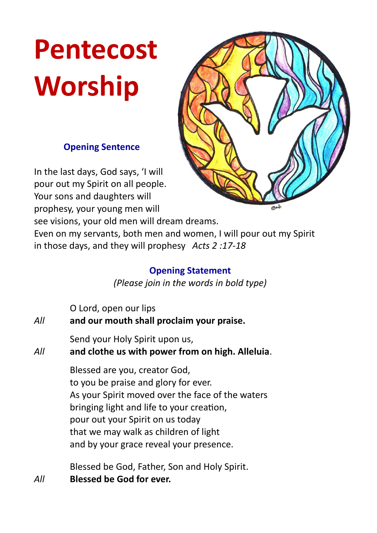# **Pentecost Worship**

## **Opening Sentence**

In the last days, God says, 'I will pour out my Spirit on all people. Your sons and daughters will prophesy, your young men will



see visions, your old men will dream dreams.

Even on my servants, both men and women, I will pour out my Spirit in those days, and they will prophesy *Acts 2 :17-18*

# **Opening Statement**

*(Please join in the words in bold type)*

| All | O Lord, open our lips<br>and our mouth shall proclaim your praise.                                                                                                                                                                                                                             |
|-----|------------------------------------------------------------------------------------------------------------------------------------------------------------------------------------------------------------------------------------------------------------------------------------------------|
| All | Send your Holy Spirit upon us,<br>and clothe us with power from on high. Alleluia.                                                                                                                                                                                                             |
|     | Blessed are you, creator God,<br>to you be praise and glory for ever.<br>As your Spirit moved over the face of the waters<br>bringing light and life to your creation,<br>pour out your Spirit on us today<br>that we may walk as children of light<br>and by your grace reveal your presence. |
|     | $\blacksquare$                                                                                                                                                                                                                                                                                 |

Blessed be God, Father, Son and Holy Spirit. *All* **Blessed be God for ever.**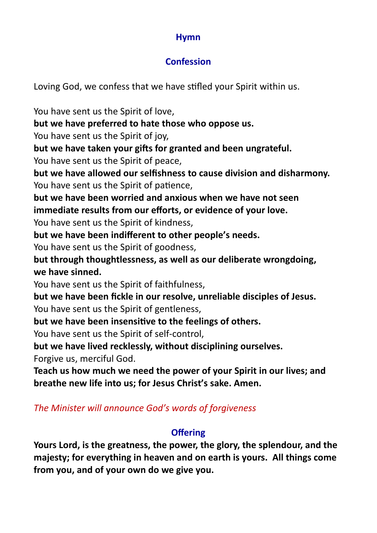## **Hymn**

# **Confession**

Loving God, we confess that we have stifled your Spirit within us.

You have sent us the Spirit of love,

**but we have preferred to hate those who oppose us.**

You have sent us the Spirit of joy,

**but we have taken your gifts for granted and been ungrateful.** You have sent us the Spirit of peace,

**but we have allowed our selfishness to cause division and disharmony.** You have sent us the Spirit of patience,

**but we have been worried and anxious when we have not seen immediate results from our efforts, or evidence of your love.**

You have sent us the Spirit of kindness,

**but we have been indifferent to other people's needs.**

You have sent us the Spirit of goodness,

**but through thoughtlessness, as well as our deliberate wrongdoing, we have sinned.**

You have sent us the Spirit of faithfulness,

**but we have been fickle in our resolve, unreliable disciples of Jesus.** You have sent us the Spirit of gentleness,

**but we have been insensitive to the feelings of others.**

You have sent us the Spirit of self-control,

**but we have lived recklessly, without disciplining ourselves.**

Forgive us, merciful God.

**Teach us how much we need the power of your Spirit in our lives; and breathe new life into us; for Jesus Christ's sake. Amen.**

*The Minister will announce God's words of forgiveness*

# **Offering**

**Yours Lord, is the greatness, the power, the glory, the splendour, and the majesty; for everything in heaven and on earth is yours. All things come from you, and of your own do we give you.**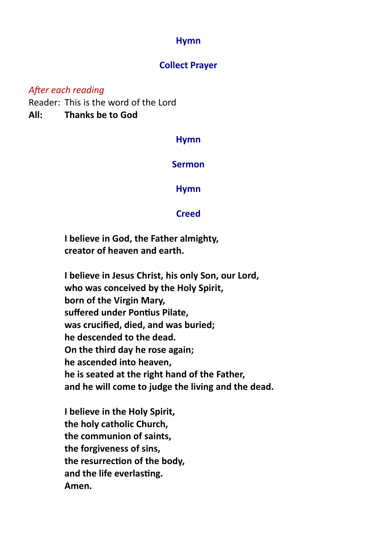### **Hymn**

## **Collect Prayer**

#### *After each reading*

Reader: This is the word of the Lord **All: Thanks be to God**

#### **Hymn**

#### **Sermon**

#### **Hymn**

#### **Creed**

**I believe in God, the Father almighty, creator of heaven and earth.**

**I believe in Jesus Christ, his only Son, our Lord, who was conceived by the Holy Spirit, born of the Virgin Mary, suffered under Pontius Pilate, was crucified, died, and was buried; he descended to the dead. On the third day he rose again; he ascended into heaven, he is seated at the right hand of the Father, and he will come to judge the living and the dead.**

**I believe in the Holy Spirit, the holy catholic Church, the communion of saints, the forgiveness of sins, the resurrection of the body, and the life everlasting. Amen.**